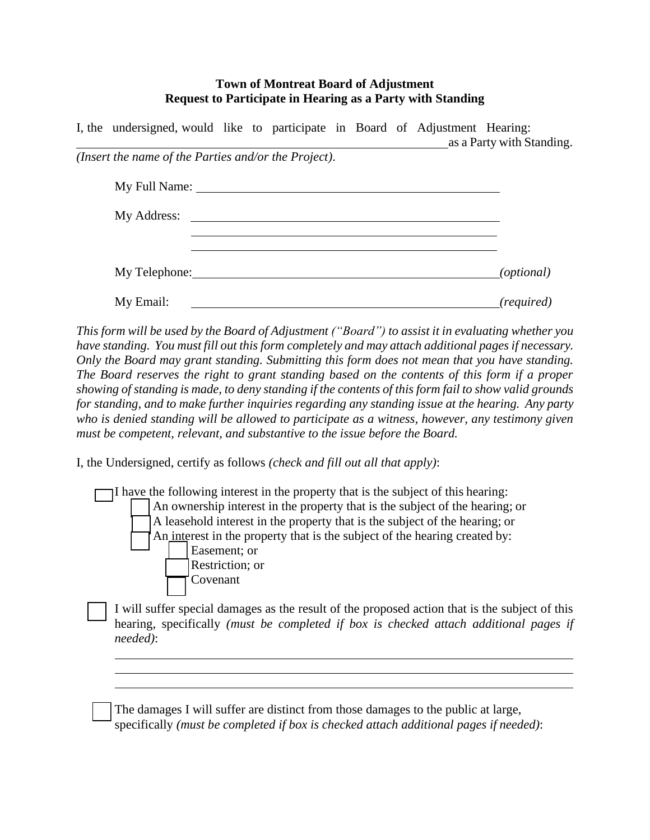## **Town of Montreat Board of Adjustment Request to Participate in Hearing as a Party with Standing**

| I, the undersigned, would like to participate in Board of Adjustment Hearing: |  |  |  | as a Party with Standing. |
|-------------------------------------------------------------------------------|--|--|--|---------------------------|
| (Insert the name of the Parties and/or the Project).                          |  |  |  |                           |
|                                                                               |  |  |  |                           |
| My Address: No. 2014                                                          |  |  |  |                           |
|                                                                               |  |  |  |                           |
|                                                                               |  |  |  | ( <i>optional</i> )       |
| My Email:                                                                     |  |  |  | (required)                |

This form will be used by the Board of Adjustment ("Board") to assist it in evaluating whether you *have standing. You must fill out this form completely and may attach additional pagesif necessary. Only the Board may grant standing. Submitting this form does not mean that you have standing. The Board reserves the right to grant standing based on the contents of this form if a proper*  showing of standing is made, to deny standing if the contents of this form fail to show valid grounds *for standing, and to make further inquiries regarding any standing issue at the hearing. Any party who is denied standing will be allowed to participate as a witness, however, any testimony given must be competent, relevant, and substantive to the issue before the Board.*

I, the Undersigned, certify as follows *(check and fill out all that apply)*:

□ I have the following interest in the property that is the subject of this hearing: An ownership interest in the property that is the subject of the hearing; or □ A leasehold interest in the property that is the subject of the hearing; or An interest in the property that is the subject of the hearing created by: Easement: or Restriction; or **Covenant** 

I will suffer special damages as the result of the proposed action that is the subject of this hearing, specifically *(must be completed if box is checked attach additional pages if needed)*:

The damages I will suffer are distinct from those damages to the public at large, specifically *(must be completed if box is checked attach additional pages if needed)*: